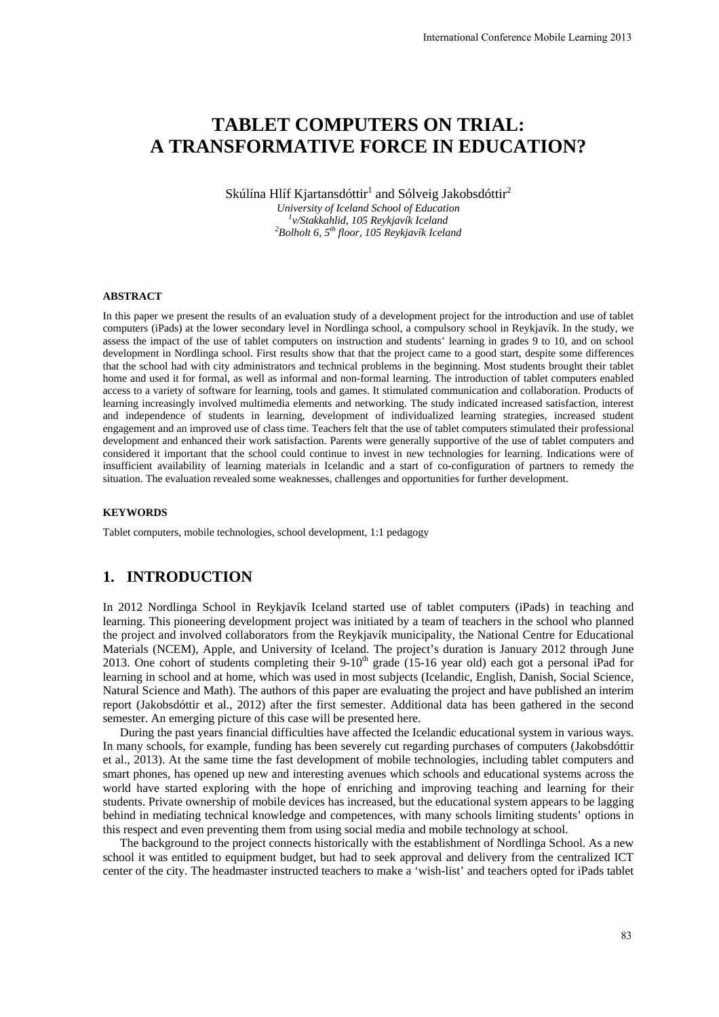# **TABLET COMPUTERS ON TRIAL: A TRANSFORMATIVE FORCE IN EDUCATION?**

Skúlína Hlíf Kjartansdóttir $^1$  and Sólveig Jakobsdóttir $^2$ 

*University of Iceland School of Education 1 v/Stakkahlid, 105 Reykjavík Iceland 2 Bolholt 6, 5th floor, 105 Reykjavík Iceland* 

#### **ABSTRACT**

In this paper we present the results of an evaluation study of a development project for the introduction and use of tablet computers (iPads) at the lower secondary level in Nordlinga school, a compulsory school in Reykjavík. In the study, we assess the impact of the use of tablet computers on instruction and students' learning in grades 9 to 10, and on school development in Nordlinga school. First results show that that the project came to a good start, despite some differences that the school had with city administrators and technical problems in the beginning. Most students brought their tablet home and used it for formal, as well as informal and non-formal learning. The introduction of tablet computers enabled access to a variety of software for learning, tools and games. It stimulated communication and collaboration. Products of learning increasingly involved multimedia elements and networking. The study indicated increased satisfaction, interest and independence of students in learning, development of individualized learning strategies, increased student engagement and an improved use of class time. Teachers felt that the use of tablet computers stimulated their professional development and enhanced their work satisfaction. Parents were generally supportive of the use of tablet computers and considered it important that the school could continue to invest in new technologies for learning. Indications were of insufficient availability of learning materials in Icelandic and a start of co-configuration of partners to remedy the situation. The evaluation revealed some weaknesses, challenges and opportunities for further development. International Conference Mobile Learning 2013<br> **ON TRIAL:**<br> **CIN EDUCATION?**<br> **CENN EDUCATION**<br> **CENN EDUCATION?**<br> **CENN EDUCATION?**<br> **CENN EDUCATION?**<br> **CENN EDUCATION?**<br> **CENN EDUCATION?**<br> **CENN EXECUTE TO A CONFINITY AN** 

#### **KEYWORDS**

Tablet computers, mobile technologies, school development, 1:1 pedagogy

# **1. INTRODUCTION**

In 2012 Nordlinga School in Reykjavík Iceland started use of tablet computers (iPads) in teaching and learning. This pioneering development project was initiated by a team of teachers in the school who planned the project and involved collaborators from the Reykjavík municipality, the National Centre for Educational Materials (NCEM), Apple, and University of Iceland. The project's duration is January 2012 through June 2013. One cohort of students completing their 9-10<sup>th</sup> grade (15-16 year old) each got a personal iPad for learning in school and at home, which was used in most subjects (Icelandic, English, Danish, Social Science, Natural Science and Math). The authors of this paper are evaluating the project and have published an interim report (Jakobsdóttir et al., 2012) after the first semester. Additional data has been gathered in the second semester. An emerging picture of this case will be presented here.

During the past years financial difficulties have affected the Icelandic educational system in various ways. In many schools, for example, funding has been severely cut regarding purchases of computers (Jakobsdóttir et al., 2013). At the same time the fast development of mobile technologies, including tablet computers and smart phones, has opened up new and interesting avenues which schools and educational systems across the world have started exploring with the hope of enriching and improving teaching and learning for their students. Private ownership of mobile devices has increased, but the educational system appears to be lagging behind in mediating technical knowledge and competences, with many schools limiting students' options in this respect and even preventing them from using social media and mobile technology at school.

The background to the project connects historically with the establishment of Nordlinga School. As a new school it was entitled to equipment budget, but had to seek approval and delivery from the centralized ICT center of the city. The headmaster instructed teachers to make a 'wish-list' and teachers opted for iPads tablet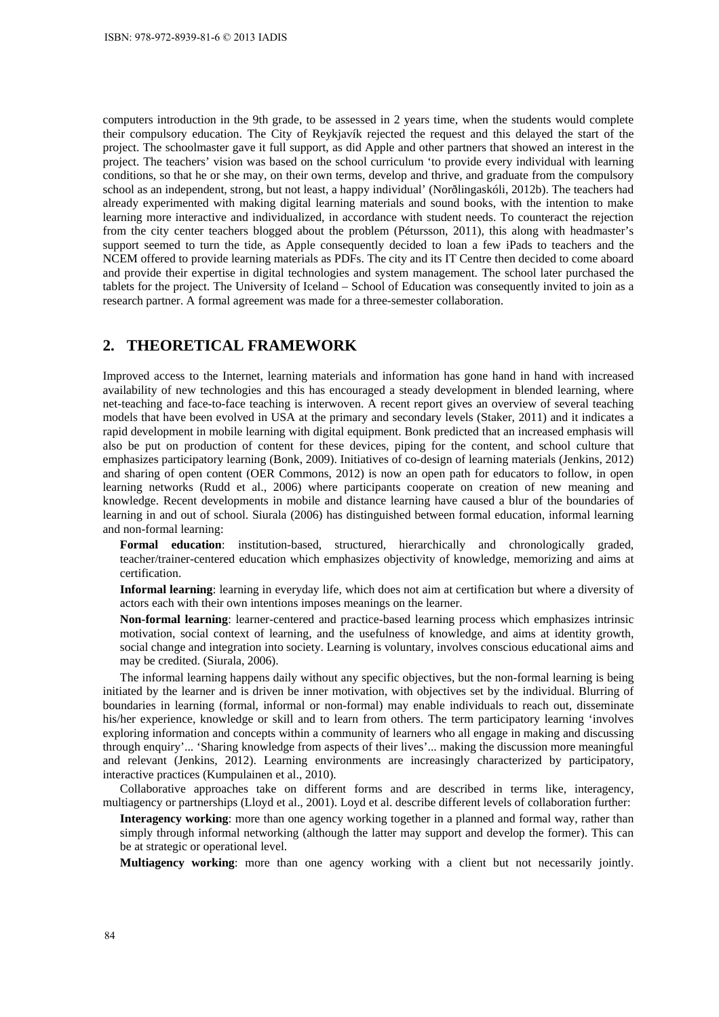computers introduction in the 9th grade, to be assessed in 2 years time, when the students would complete their compulsory education. The City of Reykjavík rejected the request and this delayed the start of the project. The schoolmaster gave it full support, as did Apple and other partners that showed an interest in the project. The teachers' vision was based on the school curriculum 'to provide every individual with learning conditions, so that he or she may, on their own terms, develop and thrive, and graduate from the compulsory school as an independent, strong, but not least, a happy individual' (Norðlingaskóli, 2012b). The teachers had already experimented with making digital learning materials and sound books, with the intention to make learning more interactive and individualized, in accordance with student needs. To counteract the rejection from the city center teachers blogged about the problem (Pétursson, 2011), this along with headmaster's support seemed to turn the tide, as Apple consequently decided to loan a few iPads to teachers and the NCEM offered to provide learning materials as PDFs. The city and its IT Centre then decided to come aboard and provide their expertise in digital technologies and system management. The school later purchased the tablets for the project. The University of Iceland – School of Education was consequently invited to join as a research partner. A formal agreement was made for a three-semester collaboration.

#### **2. THEORETICAL FRAMEWORK**

Improved access to the Internet, learning materials and information has gone hand in hand with increased availability of new technologies and this has encouraged a steady development in blended learning, where net-teaching and face-to-face teaching is interwoven. A recent report gives an overview of several teaching models that have been evolved in USA at the primary and secondary levels (Staker, 2011) and it indicates a rapid development in mobile learning with digital equipment. Bonk predicted that an increased emphasis will also be put on production of content for these devices, piping for the content, and school culture that emphasizes participatory learning (Bonk, 2009). Initiatives of co-design of learning materials (Jenkins, 2012) and sharing of open content (OER Commons, 2012) is now an open path for educators to follow, in open learning networks (Rudd et al., 2006) where participants cooperate on creation of new meaning and knowledge. Recent developments in mobile and distance learning have caused a blur of the boundaries of learning in and out of school. Siurala (2006) has distinguished between formal education, informal learning and non-formal learning:

**Formal education**: institution-based, structured, hierarchically and chronologically graded, teacher/trainer-centered education which emphasizes objectivity of knowledge, memorizing and aims at certification.

**Informal learning**: learning in everyday life, which does not aim at certification but where a diversity of actors each with their own intentions imposes meanings on the learner.

**Non-formal learning**: learner-centered and practice-based learning process which emphasizes intrinsic motivation, social context of learning, and the usefulness of knowledge, and aims at identity growth, social change and integration into society. Learning is voluntary, involves conscious educational aims and may be credited. (Siurala, 2006).

The informal learning happens daily without any specific objectives, but the non-formal learning is being initiated by the learner and is driven be inner motivation, with objectives set by the individual. Blurring of boundaries in learning (formal, informal or non-formal) may enable individuals to reach out, disseminate his/her experience, knowledge or skill and to learn from others. The term participatory learning 'involves exploring information and concepts within a community of learners who all engage in making and discussing through enquiry'... 'Sharing knowledge from aspects of their lives'... making the discussion more meaningful and relevant (Jenkins, 2012). Learning environments are increasingly characterized by participatory, interactive practices (Kumpulainen et al., 2010).

Collaborative approaches take on different forms and are described in terms like, interagency, multiagency or partnerships (Lloyd et al., 2001). Loyd et al. describe different levels of collaboration further:

**Interagency working**: more than one agency working together in a planned and formal way, rather than simply through informal networking (although the latter may support and develop the former). This can be at strategic or operational level.

**Multiagency working**: more than one agency working with a client but not necessarily jointly.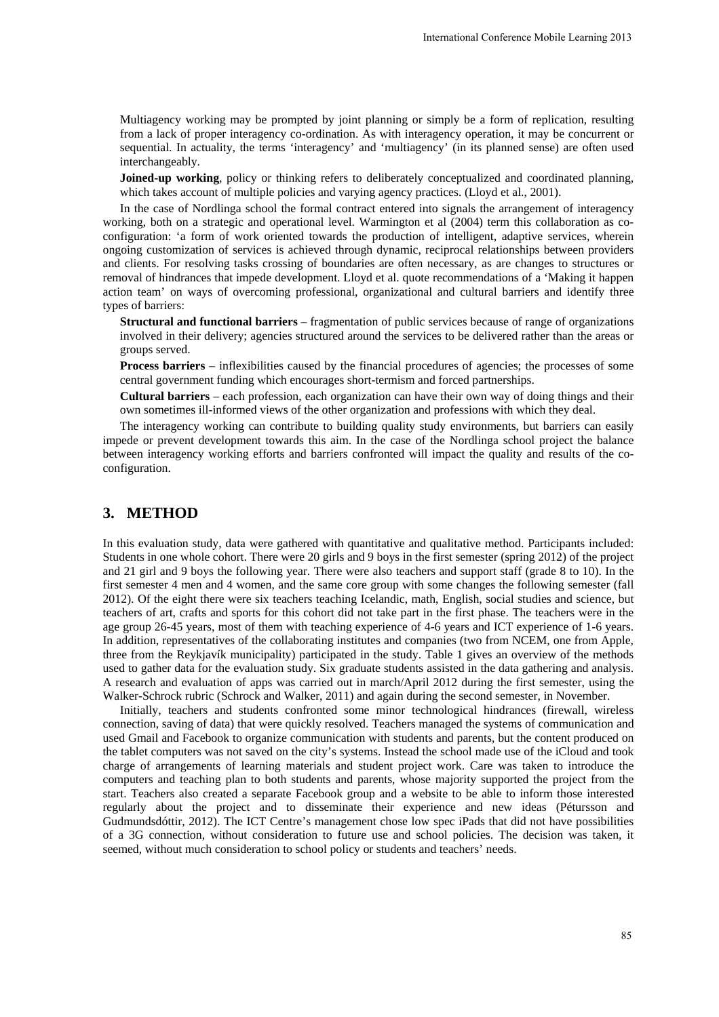Multiagency working may be prompted by joint planning or simply be a form of replication, resulting from a lack of proper interagency co-ordination. As with interagency operation, it may be concurrent or sequential. In actuality, the terms 'interagency' and 'multiagency' (in its planned sense) are often used interchangeably.

**Joined-up working**, policy or thinking refers to deliberately conceptualized and coordinated planning, which takes account of multiple policies and varying agency practices. (Lloyd et al., 2001).

In the case of Nordlinga school the formal contract entered into signals the arrangement of interagency working, both on a strategic and operational level. Warmington et al (2004) term this collaboration as coconfiguration: 'a form of work oriented towards the production of intelligent, adaptive services, wherein ongoing customization of services is achieved through dynamic, reciprocal relationships between providers and clients. For resolving tasks crossing of boundaries are often necessary, as are changes to structures or removal of hindrances that impede development. Lloyd et al. quote recommendations of a 'Making it happen action team' on ways of overcoming professional, organizational and cultural barriers and identify three types of barriers:

**Structural and functional barriers** – fragmentation of public services because of range of organizations involved in their delivery; agencies structured around the services to be delivered rather than the areas or groups served.

**Process barriers** – inflexibilities caused by the financial procedures of agencies; the processes of some central government funding which encourages short-termism and forced partnerships.

**Cultural barriers** – each profession, each organization can have their own way of doing things and their own sometimes ill-informed views of the other organization and professions with which they deal.

The interagency working can contribute to building quality study environments, but barriers can easily impede or prevent development towards this aim. In the case of the Nordlinga school project the balance between interagency working efforts and barriers confronted will impact the quality and results of the coconfiguration.

# **3. METHOD**

In this evaluation study, data were gathered with quantitative and qualitative method. Participants included: Students in one whole cohort. There were 20 girls and 9 boys in the first semester (spring 2012) of the project and 21 girl and 9 boys the following year. There were also teachers and support staff (grade 8 to 10). In the first semester 4 men and 4 women, and the same core group with some changes the following semester (fall 2012). Of the eight there were six teachers teaching Icelandic, math, English, social studies and science, but teachers of art, crafts and sports for this cohort did not take part in the first phase. The teachers were in the age group 26-45 years, most of them with teaching experience of 4-6 years and ICT experience of 1-6 years. In addition, representatives of the collaborating institutes and companies (two from NCEM, one from Apple, three from the Reykjavík municipality) participated in the study. Table 1 gives an overview of the methods used to gather data for the evaluation study. Six graduate students assisted in the data gathering and analysis. A research and evaluation of apps was carried out in march/April 2012 during the first semester, using the Walker-Schrock rubric (Schrock and Walker, 2011) and again during the second semester, in November. International Conference Mobile Learning 2013<br>
simply be a form of replication, resulting<br>
ragency operation, it may be concurrent of<br>
ency' (in its planned sense) are often use<br>
conceptualized and coordinated planning<br>
co

Initially, teachers and students confronted some minor technological hindrances (firewall, wireless connection, saving of data) that were quickly resolved. Teachers managed the systems of communication and used Gmail and Facebook to organize communication with students and parents, but the content produced on the tablet computers was not saved on the city's systems. Instead the school made use of the iCloud and took charge of arrangements of learning materials and student project work. Care was taken to introduce the computers and teaching plan to both students and parents, whose majority supported the project from the start. Teachers also created a separate Facebook group and a website to be able to inform those interested regularly about the project and to disseminate their experience and new ideas (Pétursson and Gudmundsdóttir, 2012). The ICT Centre's management chose low spec iPads that did not have possibilities of a 3G connection, without consideration to future use and school policies. The decision was taken, it seemed, without much consideration to school policy or students and teachers' needs.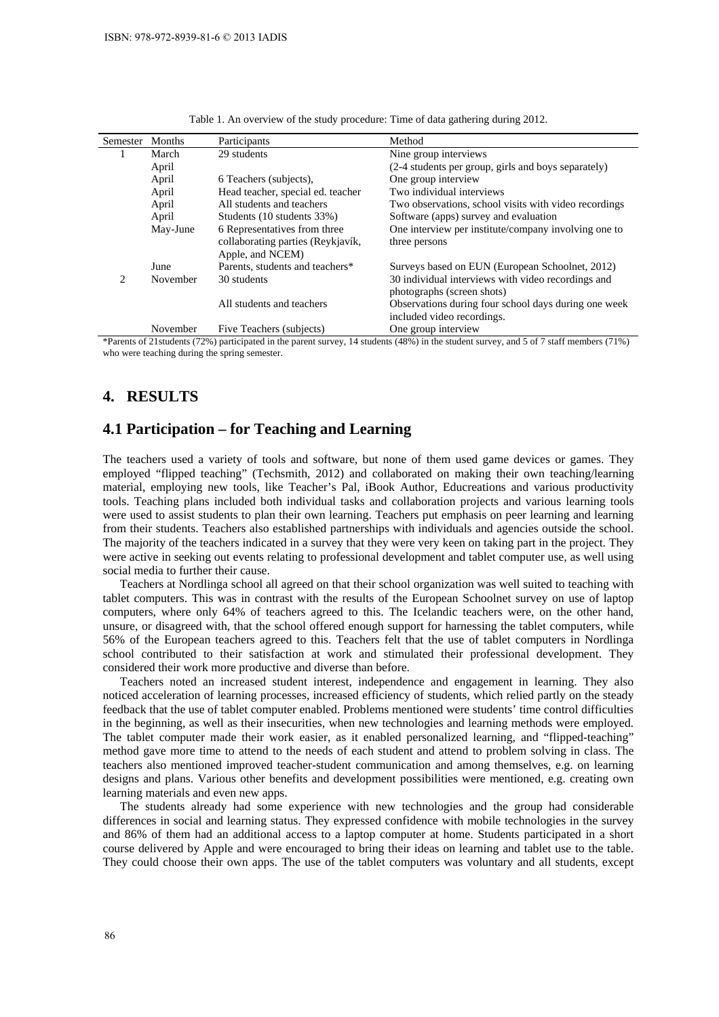| Semester                      | <b>Months</b> | Participants                                                                          | Method                                                                             |
|-------------------------------|---------------|---------------------------------------------------------------------------------------|------------------------------------------------------------------------------------|
|                               | March         | 29 students                                                                           | Nine group interviews                                                              |
|                               | April         |                                                                                       | (2-4 students per group, girls and boys separately)                                |
|                               | April         | 6 Teachers (subjects).                                                                | One group interview                                                                |
|                               | April         | Head teacher, special ed. teacher                                                     | Two individual interviews                                                          |
|                               | April         | All students and teachers                                                             | Two observations, school visits with video recordings                              |
|                               | April         | Students (10 students 33%)                                                            | Software (apps) survey and evaluation                                              |
|                               | May-June      | 6 Representatives from three<br>collaborating parties (Reykjavík,<br>Apple, and NCEM) | One interview per institute/company involving one to<br>three persons              |
|                               | June          | Parents, students and teachers*                                                       | Surveys based on EUN (European Schoolnet, 2012)                                    |
| $\mathfrak{D}_{\mathfrak{p}}$ | November      | 30 students                                                                           | 30 individual interviews with video recordings and<br>photographs (screen shots)   |
|                               |               | All students and teachers                                                             | Observations during four school days during one week<br>included video recordings. |
|                               | November      | Five Teachers (subjects)                                                              | One group interview                                                                |

Table 1. An overview of the study procedure: Time of data gathering during 2012.

\*Parents of 21students (72%) participated in the parent survey, 14 students (48%) in the student survey, and 5 of 7 staff members (71%) who were teaching during the spring semester.

#### **4. RESULTS**

### **4.1 Participation – for Teaching and Learning**

The teachers used a variety of tools and software, but none of them used game devices or games. They employed "flipped teaching" (Techsmith, 2012) and collaborated on making their own teaching/learning material, employing new tools, like Teacher's Pal, iBook Author, Educreations and various productivity tools. Teaching plans included both individual tasks and collaboration projects and various learning tools were used to assist students to plan their own learning. Teachers put emphasis on peer learning and learning from their students. Teachers also established partnerships with individuals and agencies outside the school. The majority of the teachers indicated in a survey that they were very keen on taking part in the project. They were active in seeking out events relating to professional development and tablet computer use, as well using social media to further their cause.

Teachers at Nordlinga school all agreed on that their school organization was well suited to teaching with tablet computers. This was in contrast with the results of the European Schoolnet survey on use of laptop computers, where only 64% of teachers agreed to this. The Icelandic teachers were, on the other hand, unsure, or disagreed with, that the school offered enough support for harnessing the tablet computers, while 56% of the European teachers agreed to this. Teachers felt that the use of tablet computers in Nordlinga school contributed to their satisfaction at work and stimulated their professional development. They considered their work more productive and diverse than before.

Teachers noted an increased student interest, independence and engagement in learning. They also noticed acceleration of learning processes, increased efficiency of students, which relied partly on the steady feedback that the use of tablet computer enabled. Problems mentioned were students' time control difficulties in the beginning, as well as their insecurities, when new technologies and learning methods were employed. The tablet computer made their work easier, as it enabled personalized learning, and "flipped-teaching" method gave more time to attend to the needs of each student and attend to problem solving in class. The teachers also mentioned improved teacher-student communication and among themselves, e.g. on learning designs and plans. Various other benefits and development possibilities were mentioned, e.g. creating own learning materials and even new apps.

The students already had some experience with new technologies and the group had considerable differences in social and learning status. They expressed confidence with mobile technologies in the survey and 86% of them had an additional access to a laptop computer at home. Students participated in a short course delivered by Apple and were encouraged to bring their ideas on learning and tablet use to the table. They could choose their own apps. The use of the tablet computers was voluntary and all students, except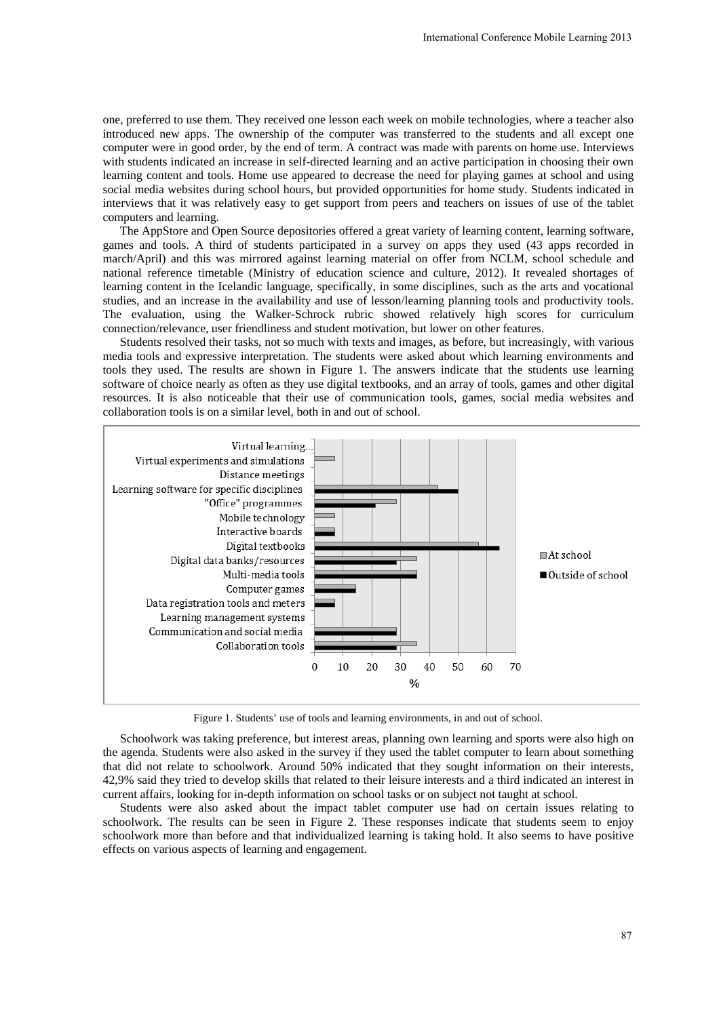one, preferred to use them. They received one lesson each week on mobile technologies, where a teacher also introduced new apps. The ownership of the computer was transferred to the students and all except one computer were in good order, by the end of term. A contract was made with parents on home use. Interviews with students indicated an increase in self-directed learning and an active participation in choosing their own learning content and tools. Home use appeared to decrease the need for playing games at school and using social media websites during school hours, but provided opportunities for home study. Students indicated in interviews that it was relatively easy to get support from peers and teachers on issues of use of the tablet computers and learning.

The AppStore and Open Source depositories offered a great variety of learning content, learning software, games and tools. A third of students participated in a survey on apps they used (43 apps recorded in march/April) and this was mirrored against learning material on offer from NCLM, school schedule and national reference timetable (Ministry of education science and culture, 2012). It revealed shortages of learning content in the Icelandic language, specifically, in some disciplines, such as the arts and vocational studies, and an increase in the availability and use of lesson/learning planning tools and productivity tools. The evaluation, using the Walker-Schrock rubric showed relatively high scores for curriculum connection/relevance, user friendliness and student motivation, but lower on other features.

Students resolved their tasks, not so much with texts and images, as before, but increasingly, with various media tools and expressive interpretation. The students were asked about which learning environments and tools they used. The results are shown in Figure 1. The answers indicate that the students use learning software of choice nearly as often as they use digital textbooks, and an array of tools, games and other digital resources. It is also noticeable that their use of communication tools, games, social media websites and collaboration tools is on a similar level, both in and out of school.



Figure 1. Students' use of tools and learning environments, in and out of school.

Schoolwork was taking preference, but interest areas, planning own learning and sports were also high on the agenda. Students were also asked in the survey if they used the tablet computer to learn about something that did not relate to schoolwork. Around 50% indicated that they sought information on their interests, 42,9% said they tried to develop skills that related to their leisure interests and a third indicated an interest in current affairs, looking for in-depth information on school tasks or on subject not taught at school.

Students were also asked about the impact tablet computer use had on certain issues relating to schoolwork. The results can be seen in Figure 2. These responses indicate that students seem to enjoy schoolwork more than before and that individualized learning is taking hold. It also seems to have positive effects on various aspects of learning and engagement.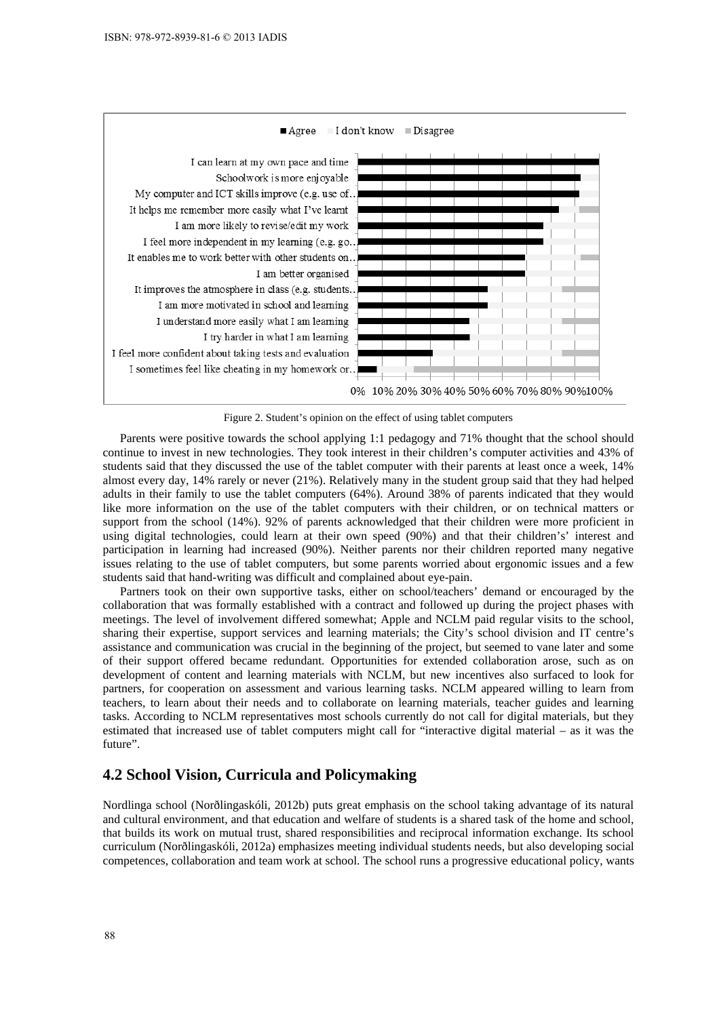

Figure 2. Student's opinion on the effect of using tablet computers

Parents were positive towards the school applying 1:1 pedagogy and 71% thought that the school should continue to invest in new technologies. They took interest in their children's computer activities and 43% of students said that they discussed the use of the tablet computer with their parents at least once a week, 14% almost every day, 14% rarely or never (21%). Relatively many in the student group said that they had helped adults in their family to use the tablet computers (64%). Around 38% of parents indicated that they would like more information on the use of the tablet computers with their children, or on technical matters or support from the school (14%). 92% of parents acknowledged that their children were more proficient in using digital technologies, could learn at their own speed (90%) and that their children's' interest and participation in learning had increased (90%). Neither parents nor their children reported many negative issues relating to the use of tablet computers, but some parents worried about ergonomic issues and a few students said that hand-writing was difficult and complained about eye-pain.

Partners took on their own supportive tasks, either on school/teachers' demand or encouraged by the collaboration that was formally established with a contract and followed up during the project phases with meetings. The level of involvement differed somewhat; Apple and NCLM paid regular visits to the school, sharing their expertise, support services and learning materials; the City's school division and IT centre's assistance and communication was crucial in the beginning of the project, but seemed to vane later and some of their support offered became redundant. Opportunities for extended collaboration arose, such as on development of content and learning materials with NCLM, but new incentives also surfaced to look for partners, for cooperation on assessment and various learning tasks. NCLM appeared willing to learn from teachers, to learn about their needs and to collaborate on learning materials, teacher guides and learning tasks. According to NCLM representatives most schools currently do not call for digital materials, but they estimated that increased use of tablet computers might call for "interactive digital material – as it was the future".

## **4.2 School Vision, Curricula and Policymaking**

Nordlinga school (Norðlingaskóli, 2012b) puts great emphasis on the school taking advantage of its natural and cultural environment, and that education and welfare of students is a shared task of the home and school, that builds its work on mutual trust, shared responsibilities and reciprocal information exchange. Its school curriculum (Norðlingaskóli, 2012a) emphasizes meeting individual students needs, but also developing social competences, collaboration and team work at school. The school runs a progressive educational policy, wants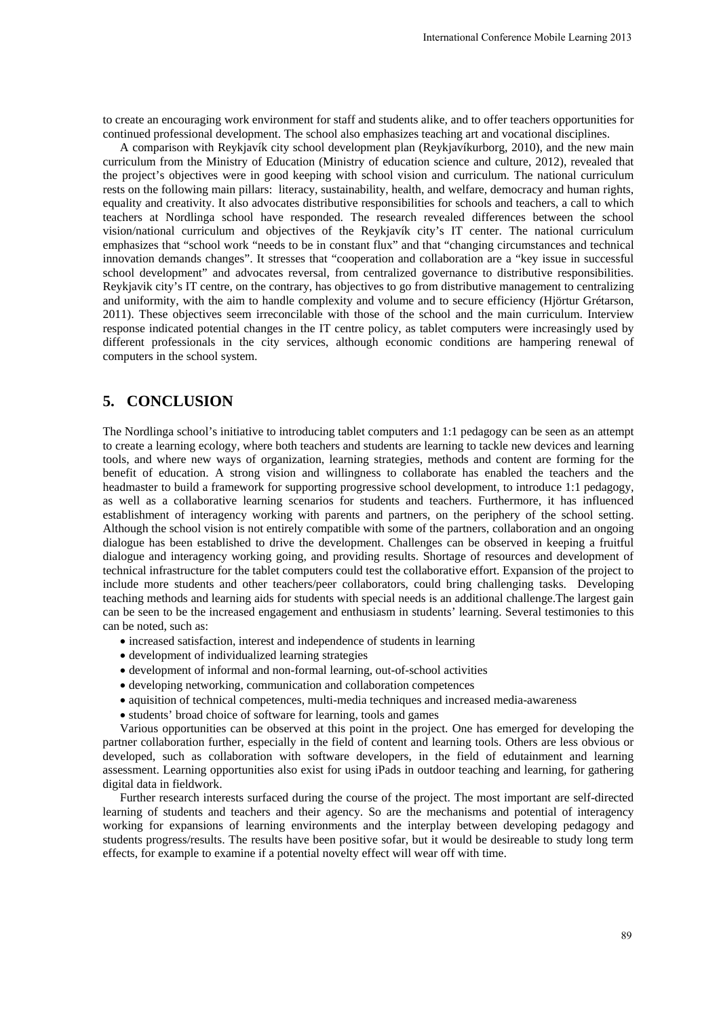to create an encouraging work environment for staff and students alike, and to offer teachers opportunities for continued professional development. The school also emphasizes teaching art and vocational disciplines.

A comparison with Reykjavík city school development plan (Reykjavíkurborg, 2010), and the new main curriculum from the Ministry of Education (Ministry of education science and culture, 2012), revealed that the project's objectives were in good keeping with school vision and curriculum. The national curriculum rests on the following main pillars: literacy, sustainability, health, and welfare, democracy and human rights, equality and creativity. It also advocates distributive responsibilities for schools and teachers, a call to which teachers at Nordlinga school have responded. The research revealed differences between the school vision/national curriculum and objectives of the Reykjavík city's IT center. The national curriculum emphasizes that "school work "needs to be in constant flux" and that "changing circumstances and technical innovation demands changes". It stresses that "cooperation and collaboration are a "key issue in successful school development" and advocates reversal, from centralized governance to distributive responsibilities. Reykjavik city's IT centre, on the contrary, has objectives to go from distributive management to centralizing and uniformity, with the aim to handle complexity and volume and to secure efficiency (Hjörtur Grétarson, 2011). These objectives seem irreconcilable with those of the school and the main curriculum. Interview response indicated potential changes in the IT centre policy, as tablet computers were increasingly used by different professionals in the city services, although economic conditions are hampering renewal of computers in the school system. International Conference Mobile Learning 2013<br>
alike, and to offer teachers opportunities for<br>
Recyligar/Kurborg, 2010), and the new main<br>
Reyligar/Kurborg, 2010), and the new main<br>
science and cultrule, 2012), revealed th

# **5. CONCLUSION**

The Nordlinga school's initiative to introducing tablet computers and 1:1 pedagogy can be seen as an attempt to create a learning ecology, where both teachers and students are learning to tackle new devices and learning tools, and where new ways of organization, learning strategies, methods and content are forming for the benefit of education. A strong vision and willingness to collaborate has enabled the teachers and the headmaster to build a framework for supporting progressive school development, to introduce 1:1 pedagogy, as well as a collaborative learning scenarios for students and teachers. Furthermore, it has influenced establishment of interagency working with parents and partners, on the periphery of the school setting. Although the school vision is not entirely compatible with some of the partners, collaboration and an ongoing dialogue has been established to drive the development. Challenges can be observed in keeping a fruitful dialogue and interagency working going, and providing results. Shortage of resources and development of technical infrastructure for the tablet computers could test the collaborative effort. Expansion of the project to include more students and other teachers/peer collaborators, could bring challenging tasks. Developing teaching methods and learning aids for students with special needs is an additional challenge.The largest gain can be seen to be the increased engagement and enthusiasm in students' learning. Several testimonies to this can be noted, such as:

- increased satisfaction, interest and independence of students in learning
- development of individualized learning strategies
- development of informal and non-formal learning, out-of-school activities
- developing networking, communication and collaboration competences
- aquisition of technical competences, multi-media techniques and increased media-awareness
- students' broad choice of software for learning, tools and games

Various opportunities can be observed at this point in the project. One has emerged for developing the partner collaboration further, especially in the field of content and learning tools. Others are less obvious or developed, such as collaboration with software developers, in the field of edutainment and learning assessment. Learning opportunities also exist for using iPads in outdoor teaching and learning, for gathering digital data in fieldwork.

Further research interests surfaced during the course of the project. The most important are self-directed learning of students and teachers and their agency. So are the mechanisms and potential of interagency working for expansions of learning environments and the interplay between developing pedagogy and students progress/results. The results have been positive sofar, but it would be desireable to study long term effects, for example to examine if a potential novelty effect will wear off with time.